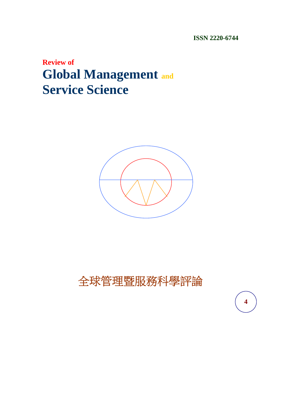**ISSN 2220-6744** 

**4** 

## **Review of Global Management and Service Science**



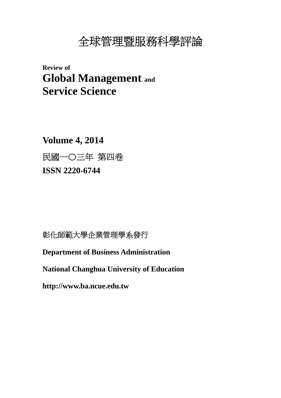# 全球管理暨服務科學評論

**Review of Global Management and Service Science** 

**Volume 4, 2014**  民國一〇三年 第四卷 **ISSN 2220-6744** 

### 彰化師範大學企業管理學系發行

**Department of Business Administration** 

**National Changhua University of Education** 

**http://www.ba.ncue.edu.tw**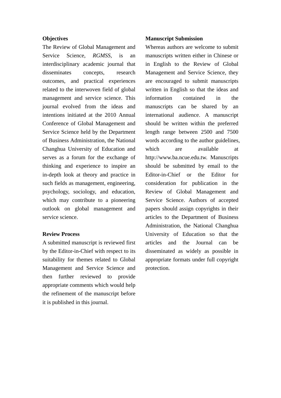#### **Objectives**

The Review of Global Management and Service Science, *RGMSS*, is an interdisciplinary academic journal that disseminates concepts, research outcomes, and practical experiences related to the interwoven field of global management and service science. This journal evolved from the ideas and intentions initiated at the 2010 Annual Conference of Global Management and Service Science held by the Department of Business Administration, the National Changhua University of Education and serves as a forum for the exchange of thinking and experience to inspire an in-depth look at theory and practice in such fields as management, engineering, psychology, sociology, and education, which may contribute to a pioneering outlook on global management and service science.

#### **Review Process**

A submitted manuscript is reviewed first by the Editor-in-Chief with respect to its suitability for themes related to Global Management and Service Science and then further reviewed to provide appropriate comments which would help the refinement of the manuscript before it is published in this journal.

#### **Manuscript Submission**

Whereas authors are welcome to submit manuscripts written either in Chinese or in English to the Review of Global Management and Service Science, they are encouraged to submit manuscripts written in English so that the ideas and information contained in the manuscripts can be shared by an international audience. A manuscript should be written within the preferred length range between 2500 and 7500 words according to the author guidelines, which are available at http://www.ba.ncue.edu.tw. Manuscripts should be submitted by email to the Editor-in-Chief or the Editor for consideration for publication in the Review of Global Management and Service Science. Authors of accepted papers should assign copyrights in their articles to the Department of Business Administration, the National Changhua University of Education so that the articles and the Journal can be disseminated as widely as possible in appropriate formats under full copyright protection.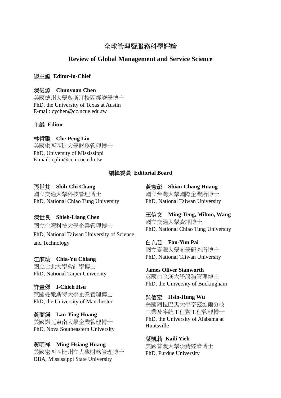### 全球管理暨服務科學評論

#### **Review of Global Management and Service Science**

#### 總主編 **Editor-in-Chief**

#### 陳俊源 **Chunyuan Chen**

美國德州大學奧斯汀校區經濟學博士 PhD, the University of Texas at Austin E-mail: cychen@cc.ncue.edu.tw

#### 主編 **Editor**

#### 林哲鵬 **Che-Peng Lin**

美國密西西比大學財務管理博士 PhD, University of Mississippi E-mail: cplin@cc.ncue.edu.tw

#### 編輯委員 **Editorial Board**

#### 張世其 **Shih-Chi Chang**

國立交通大學科技管理博士 PhD, National Chiao Tung University

#### 陳世良 **Shieh-Liang Chen**

國立台灣科技大學企業管理博士 PhD, National Taiwan University of Science and Technology

#### 江家瑜 **Chia-Yu Chiang**

國立台北大學會計學博士 PhD, National Taipei University

#### 許壹傑 **I-Chieh Hsu**

英國曼徹斯特大學企業管理博士 PhD, the University of Manchester

#### 黃蘭鍈 **Lan-Ying Huang**

美國諾瓦東南大學企業管理博士 PhD, Nova Southeastern University

#### 黃明祥 **Ming-Hsiang Huang**

美國密西西比州立大學財務管理博士 DBA, Mississippi State University

#### 黃憲彰 **Shian-Chang Huang**

國立台灣大學國際企業所博士 PhD, National Taiwan University

王信文 **Ming-Teng, Milton, Wang**  國立交通大學資訊博士 PhD, National Chiao Tung University

#### 白凢芸 **Fan-Yun Pai**  國立臺灣大學商學研究所博士 PhD, National Taiwan University

**James Oliver Stanworth**  英國白金漢大學服務管理博士 PhD, the University of Buckingham

#### 吳信宏 **Hsin-Hung Wu**  美國阿拉巴馬大學亨茲維爾分校 工業及系統工程暨工程管理博士 PhD, the University of Alabama at Huntsville

葉凱莉 **Kaili Yieh**  美國普渡大學消費經濟博士 PhD, Purdue University